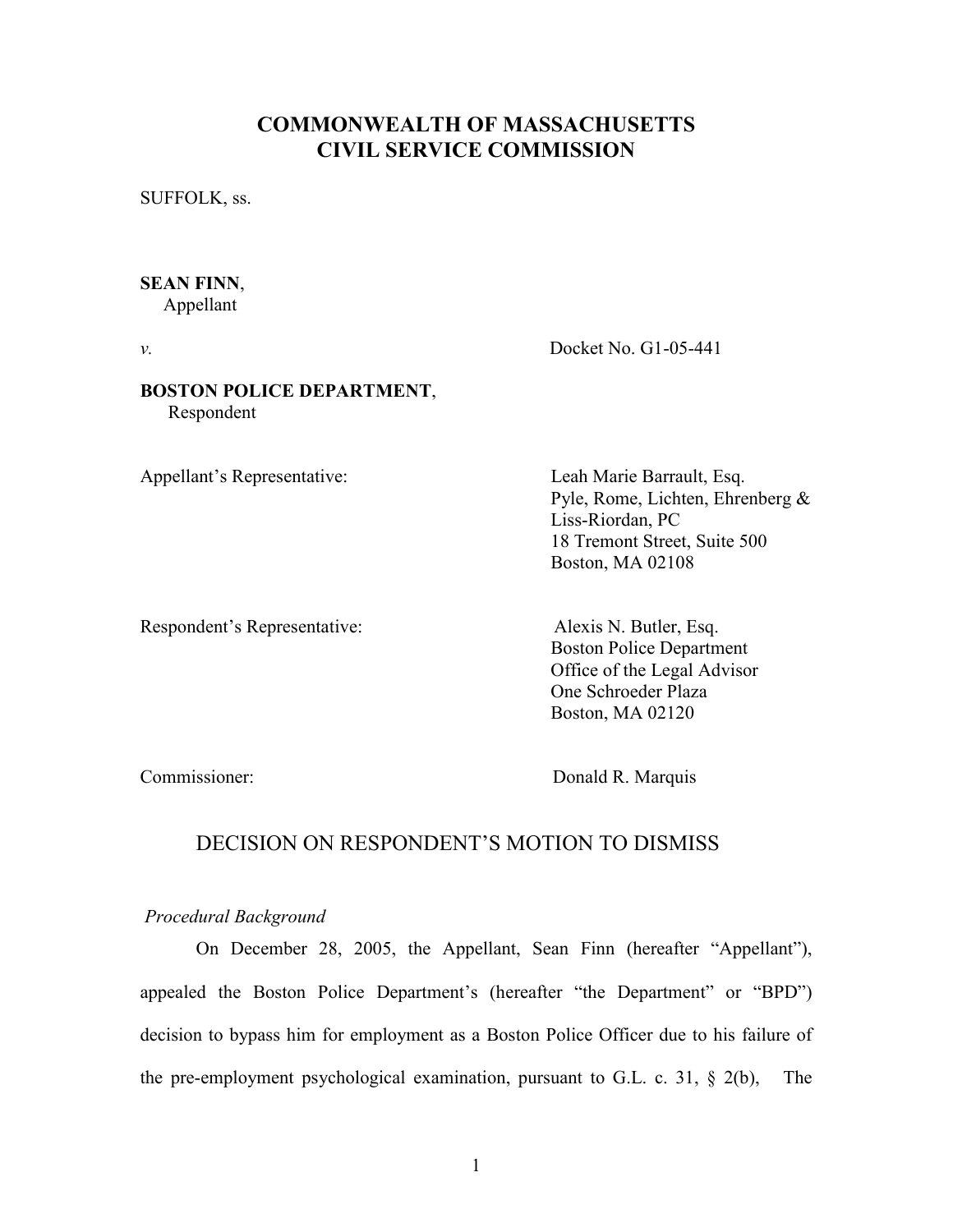# COMMONWEALTH OF MASSACHUSETTS CIVIL SERVICE COMMISSION

SUFFOLK, ss.

## SEAN FINN,

Appellant

v. Docket No. G1-05-441

### BOSTON POLICE DEPARTMENT, Respondent

Appellant's Representative: Leah Marie Barrault, Esq.

Pyle, Rome, Lichten, Ehrenberg & Liss-Riordan, PC 18 Tremont Street, Suite 500 Boston, MA 02108

Respondent's Representative: Alexis N. Butler, Esq.

 Boston Police Department Office of the Legal Advisor One Schroeder Plaza Boston, MA 02120

Commissioner: Donald R. Marquis

## DECISION ON RESPONDENT'S MOTION TO DISMISS

## Procedural Background

On December 28, 2005, the Appellant, Sean Finn (hereafter "Appellant"), appealed the Boston Police Department's (hereafter "the Department" or "BPD") decision to bypass him for employment as a Boston Police Officer due to his failure of the pre-employment psychological examination, pursuant to G.L. c. 31, § 2(b), The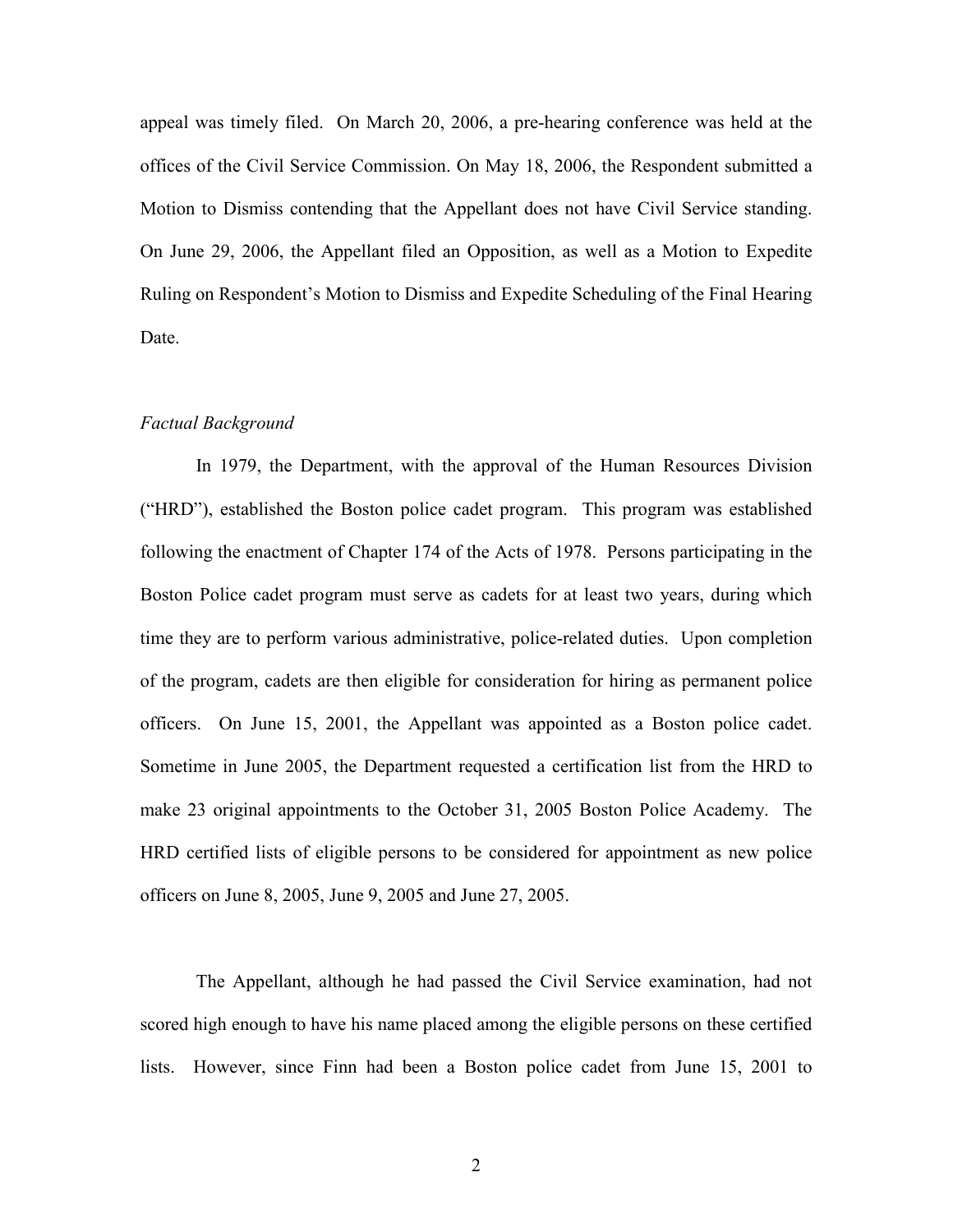appeal was timely filed. On March 20, 2006, a pre-hearing conference was held at the offices of the Civil Service Commission. On May 18, 2006, the Respondent submitted a Motion to Dismiss contending that the Appellant does not have Civil Service standing. On June 29, 2006, the Appellant filed an Opposition, as well as a Motion to Expedite Ruling on Respondent's Motion to Dismiss and Expedite Scheduling of the Final Hearing Date.

## Factual Background

 In 1979, the Department, with the approval of the Human Resources Division ("HRD"), established the Boston police cadet program. This program was established following the enactment of Chapter 174 of the Acts of 1978. Persons participating in the Boston Police cadet program must serve as cadets for at least two years, during which time they are to perform various administrative, police-related duties. Upon completion of the program, cadets are then eligible for consideration for hiring as permanent police officers. On June 15, 2001, the Appellant was appointed as a Boston police cadet. Sometime in June 2005, the Department requested a certification list from the HRD to make 23 original appointments to the October 31, 2005 Boston Police Academy. The HRD certified lists of eligible persons to be considered for appointment as new police officers on June 8, 2005, June 9, 2005 and June 27, 2005.

 The Appellant, although he had passed the Civil Service examination, had not scored high enough to have his name placed among the eligible persons on these certified lists. However, since Finn had been a Boston police cadet from June 15, 2001 to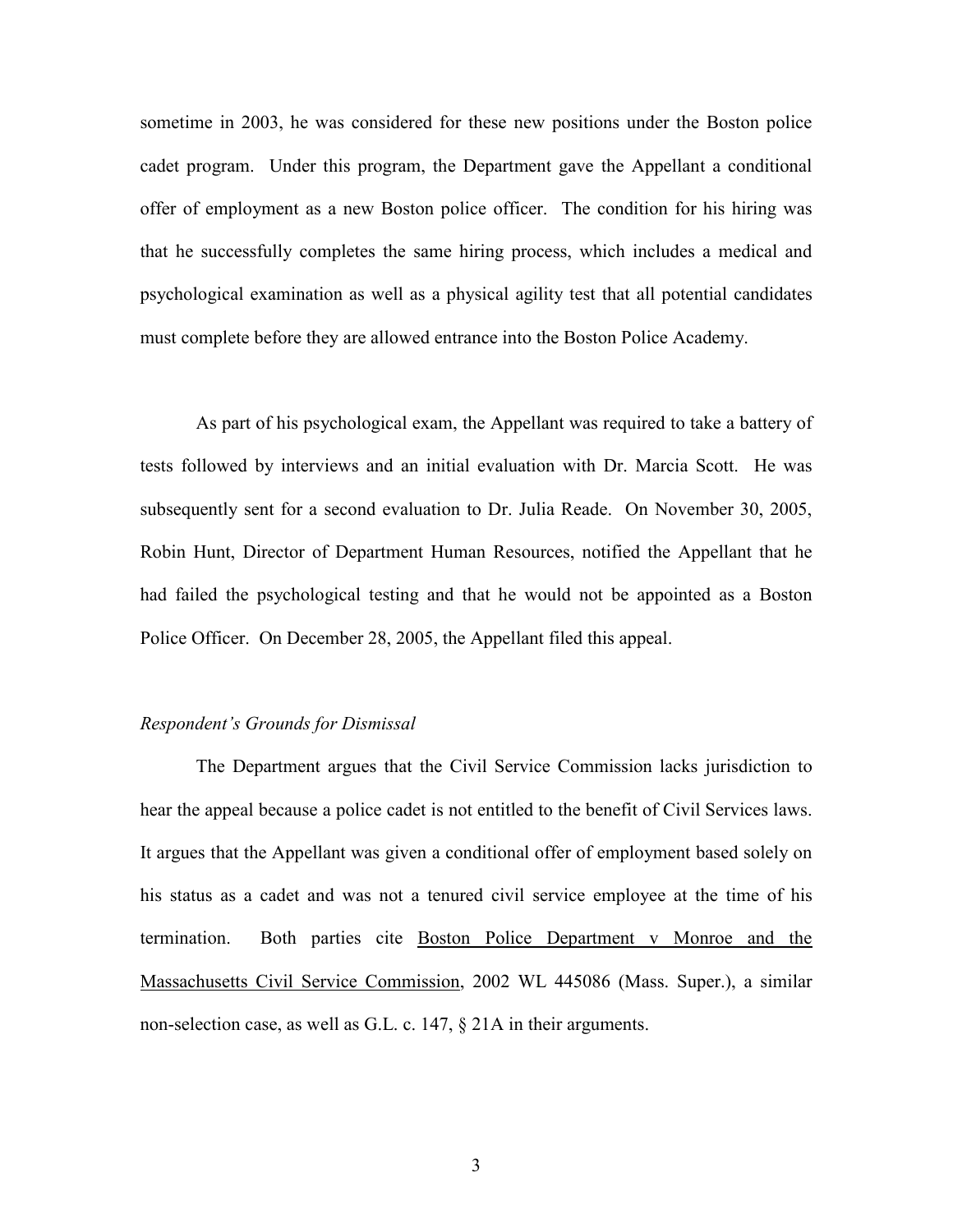sometime in 2003, he was considered for these new positions under the Boston police cadet program. Under this program, the Department gave the Appellant a conditional offer of employment as a new Boston police officer. The condition for his hiring was that he successfully completes the same hiring process, which includes a medical and psychological examination as well as a physical agility test that all potential candidates must complete before they are allowed entrance into the Boston Police Academy.

 As part of his psychological exam, the Appellant was required to take a battery of tests followed by interviews and an initial evaluation with Dr. Marcia Scott. He was subsequently sent for a second evaluation to Dr. Julia Reade. On November 30, 2005, Robin Hunt, Director of Department Human Resources, notified the Appellant that he had failed the psychological testing and that he would not be appointed as a Boston Police Officer. On December 28, 2005, the Appellant filed this appeal.

#### Respondent's Grounds for Dismissal

The Department argues that the Civil Service Commission lacks jurisdiction to hear the appeal because a police cadet is not entitled to the benefit of Civil Services laws. It argues that the Appellant was given a conditional offer of employment based solely on his status as a cadet and was not a tenured civil service employee at the time of his termination. Both parties cite Boston Police Department v Monroe and the Massachusetts Civil Service Commission, 2002 WL 445086 (Mass. Super.), a similar non-selection case, as well as G.L. c. 147, § 21A in their arguments.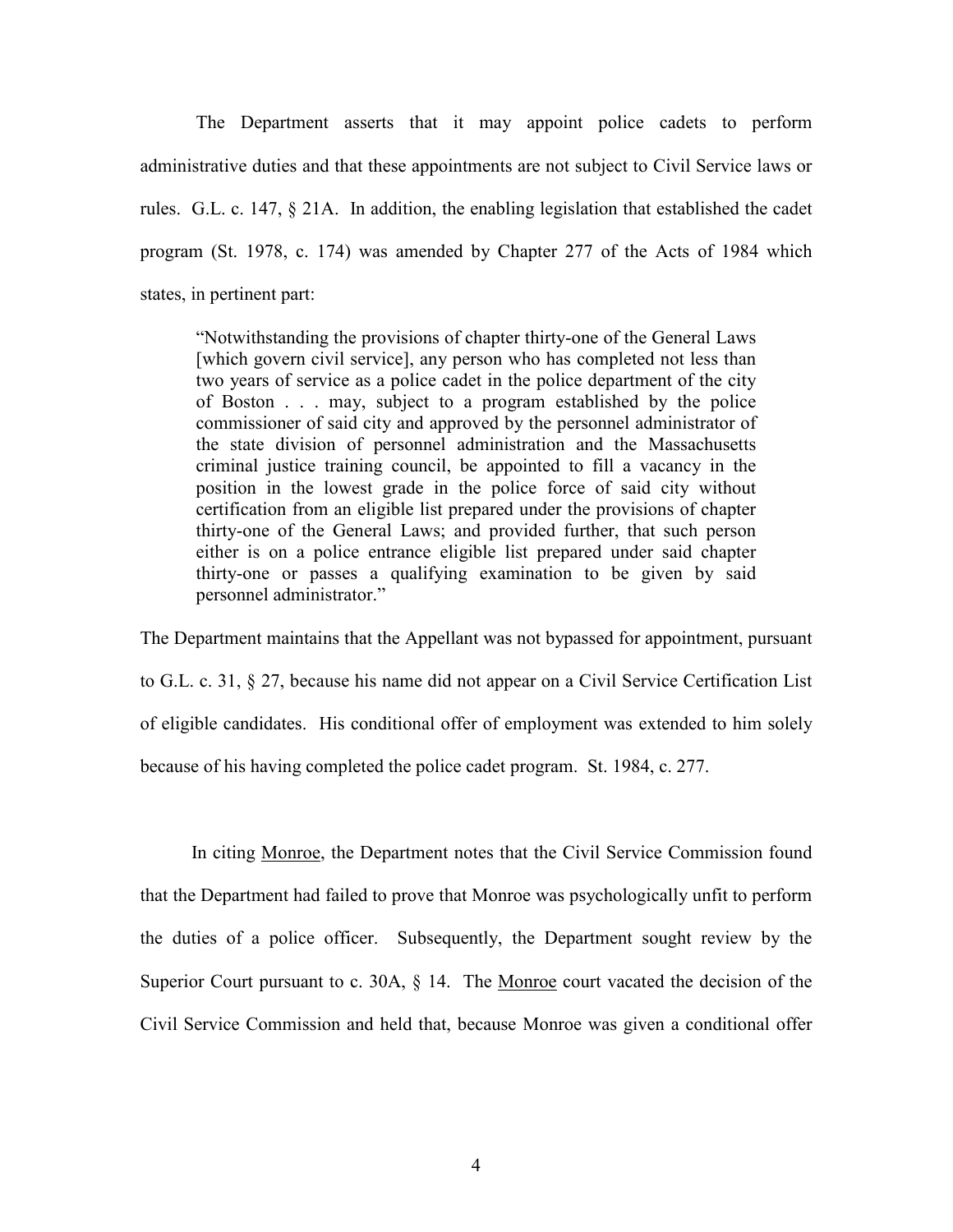The Department asserts that it may appoint police cadets to perform administrative duties and that these appointments are not subject to Civil Service laws or rules. G.L. c. 147, § 21A. In addition, the enabling legislation that established the cadet program (St. 1978, c. 174) was amended by Chapter 277 of the Acts of 1984 which states, in pertinent part:

"Notwithstanding the provisions of chapter thirty-one of the General Laws [which govern civil service], any person who has completed not less than two years of service as a police cadet in the police department of the city of Boston . . . may, subject to a program established by the police commissioner of said city and approved by the personnel administrator of the state division of personnel administration and the Massachusetts criminal justice training council, be appointed to fill a vacancy in the position in the lowest grade in the police force of said city without certification from an eligible list prepared under the provisions of chapter thirty-one of the General Laws; and provided further, that such person either is on a police entrance eligible list prepared under said chapter thirty-one or passes a qualifying examination to be given by said personnel administrator."

The Department maintains that the Appellant was not bypassed for appointment, pursuant to G.L. c. 31, § 27, because his name did not appear on a Civil Service Certification List of eligible candidates. His conditional offer of employment was extended to him solely because of his having completed the police cadet program. St. 1984, c. 277.

 In citing Monroe, the Department notes that the Civil Service Commission found that the Department had failed to prove that Monroe was psychologically unfit to perform the duties of a police officer. Subsequently, the Department sought review by the Superior Court pursuant to c. 30A, § 14. The Monroe court vacated the decision of the Civil Service Commission and held that, because Monroe was given a conditional offer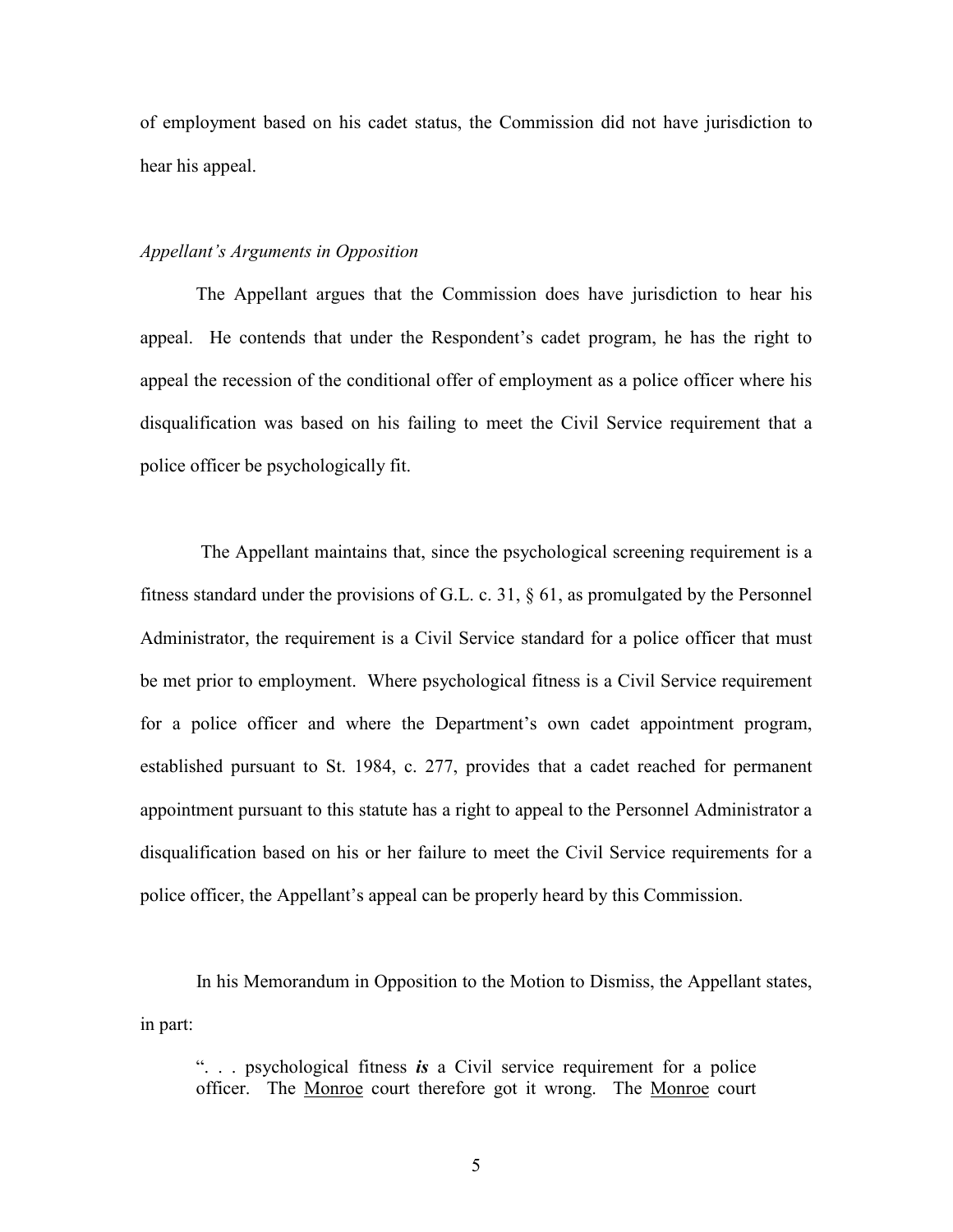of employment based on his cadet status, the Commission did not have jurisdiction to hear his appeal.

#### Appellant's Arguments in Opposition

 The Appellant argues that the Commission does have jurisdiction to hear his appeal. He contends that under the Respondent's cadet program, he has the right to appeal the recession of the conditional offer of employment as a police officer where his disqualification was based on his failing to meet the Civil Service requirement that a police officer be psychologically fit.

 The Appellant maintains that, since the psychological screening requirement is a fitness standard under the provisions of G.L. c. 31, § 61, as promulgated by the Personnel Administrator, the requirement is a Civil Service standard for a police officer that must be met prior to employment. Where psychological fitness is a Civil Service requirement for a police officer and where the Department's own cadet appointment program, established pursuant to St. 1984, c. 277, provides that a cadet reached for permanent appointment pursuant to this statute has a right to appeal to the Personnel Administrator a disqualification based on his or her failure to meet the Civil Service requirements for a police officer, the Appellant's appeal can be properly heard by this Commission.

 In his Memorandum in Opposition to the Motion to Dismiss, the Appellant states, in part:

"... psychological fitness is a Civil service requirement for a police officer. The Monroe court therefore got it wrong. The Monroe court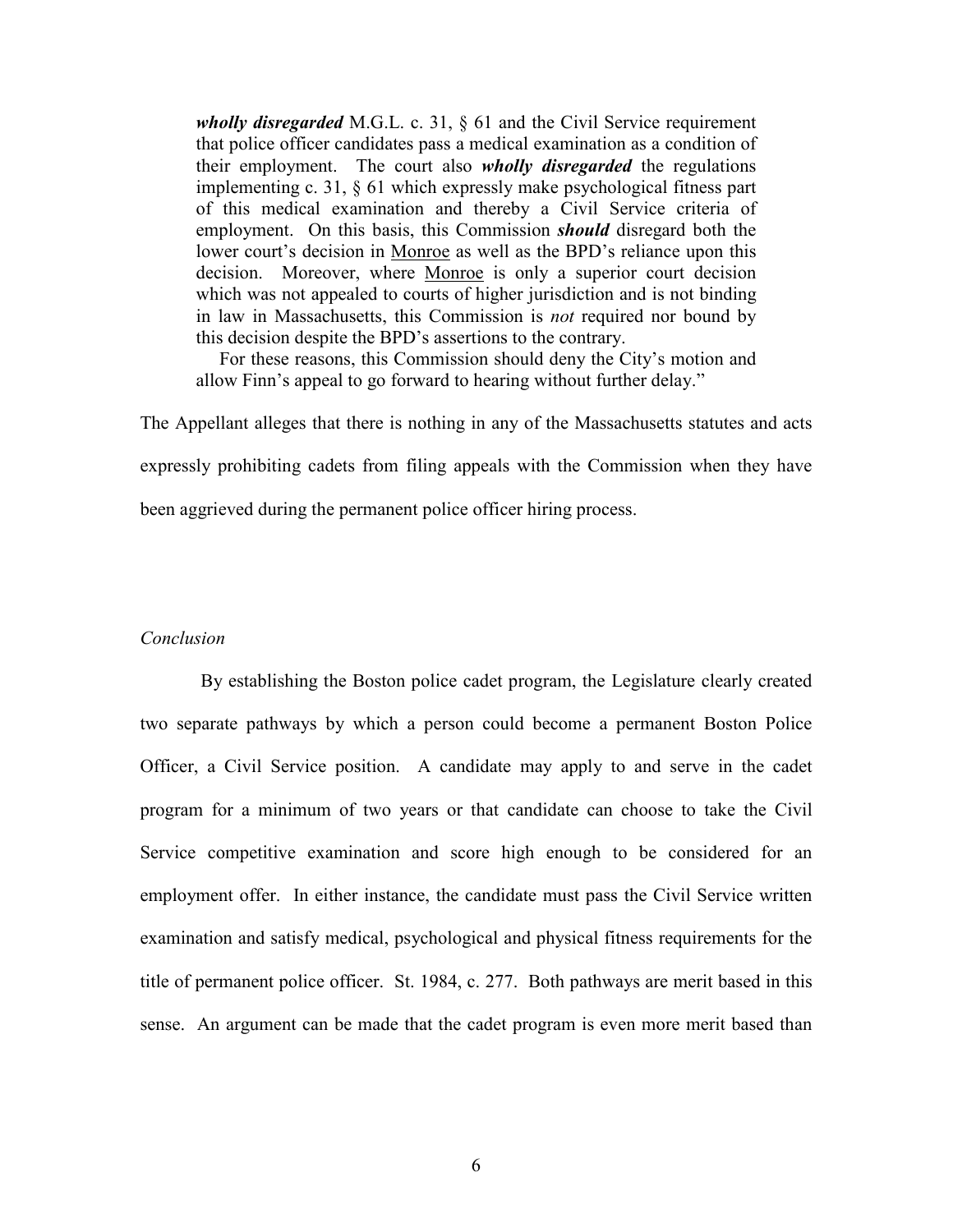*wholly disregarded* M.G.L. c. 31,  $\S$  61 and the Civil Service requirement that police officer candidates pass a medical examination as a condition of their employment. The court also *wholly disregarded* the regulations implementing c. 31, § 61 which expressly make psychological fitness part of this medical examination and thereby a Civil Service criteria of employment. On this basis, this Commission *should* disregard both the lower court's decision in Monroe as well as the BPD's reliance upon this decision. Moreover, where Monroe is only a superior court decision which was not appealed to courts of higher jurisdiction and is not binding in law in Massachusetts, this Commission is not required nor bound by this decision despite the BPD's assertions to the contrary.

 For these reasons, this Commission should deny the City's motion and allow Finn's appeal to go forward to hearing without further delay."

The Appellant alleges that there is nothing in any of the Massachusetts statutes and acts expressly prohibiting cadets from filing appeals with the Commission when they have been aggrieved during the permanent police officer hiring process.

#### Conclusion

 By establishing the Boston police cadet program, the Legislature clearly created two separate pathways by which a person could become a permanent Boston Police Officer, a Civil Service position. A candidate may apply to and serve in the cadet program for a minimum of two years or that candidate can choose to take the Civil Service competitive examination and score high enough to be considered for an employment offer. In either instance, the candidate must pass the Civil Service written examination and satisfy medical, psychological and physical fitness requirements for the title of permanent police officer. St. 1984, c. 277. Both pathways are merit based in this sense. An argument can be made that the cadet program is even more merit based than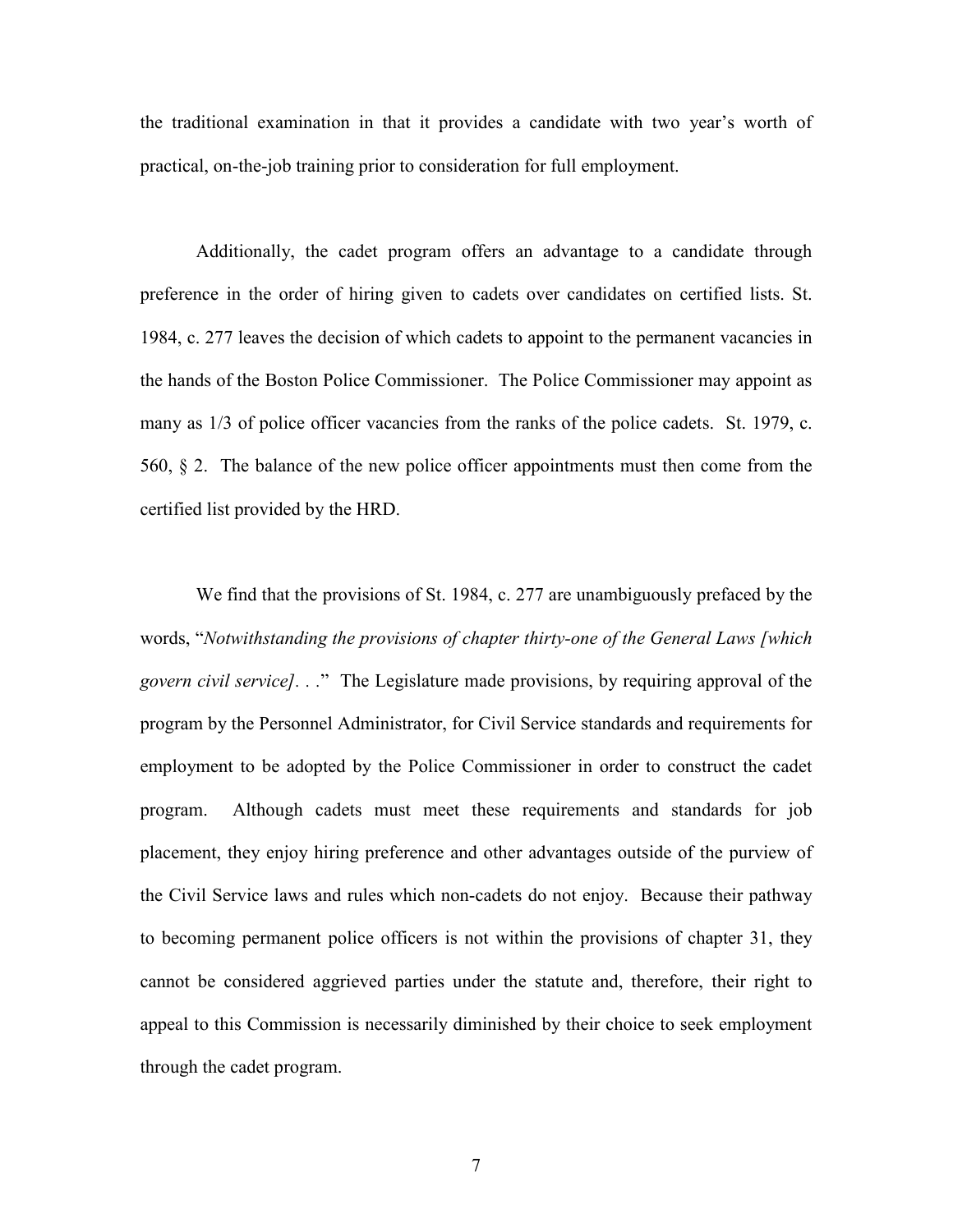the traditional examination in that it provides a candidate with two year's worth of practical, on-the-job training prior to consideration for full employment.

 Additionally, the cadet program offers an advantage to a candidate through preference in the order of hiring given to cadets over candidates on certified lists. St. 1984, c. 277 leaves the decision of which cadets to appoint to the permanent vacancies in the hands of the Boston Police Commissioner. The Police Commissioner may appoint as many as 1/3 of police officer vacancies from the ranks of the police cadets. St. 1979, c. 560, § 2. The balance of the new police officer appointments must then come from the certified list provided by the HRD.

We find that the provisions of St. 1984, c. 277 are unambiguously prefaced by the words, "Notwithstanding the provisions of chapter thirty-one of the General Laws [which govern civil service]. . ." The Legislature made provisions, by requiring approval of the program by the Personnel Administrator, for Civil Service standards and requirements for employment to be adopted by the Police Commissioner in order to construct the cadet program. Although cadets must meet these requirements and standards for job placement, they enjoy hiring preference and other advantages outside of the purview of the Civil Service laws and rules which non-cadets do not enjoy. Because their pathway to becoming permanent police officers is not within the provisions of chapter 31, they cannot be considered aggrieved parties under the statute and, therefore, their right to appeal to this Commission is necessarily diminished by their choice to seek employment through the cadet program.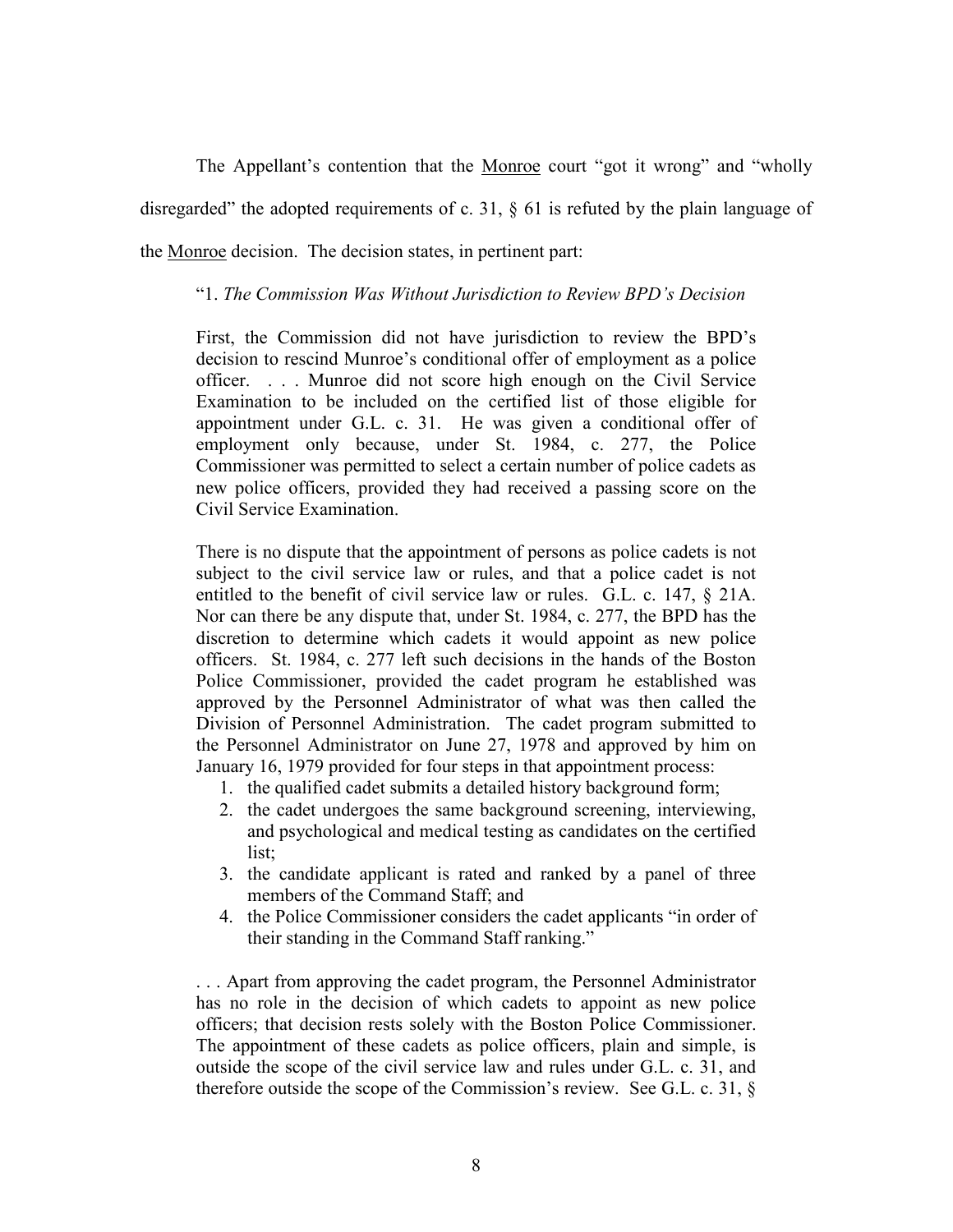The Appellant's contention that the Monroe court "got it wrong" and "wholly disregarded" the adopted requirements of c. 31, § 61 is refuted by the plain language of the Monroe decision. The decision states, in pertinent part:

## "1. The Commission Was Without Jurisdiction to Review BPD's Decision

First, the Commission did not have jurisdiction to review the BPD's decision to rescind Munroe's conditional offer of employment as a police officer. . . . Munroe did not score high enough on the Civil Service Examination to be included on the certified list of those eligible for appointment under G.L. c. 31. He was given a conditional offer of employment only because, under St. 1984, c. 277, the Police Commissioner was permitted to select a certain number of police cadets as new police officers, provided they had received a passing score on the Civil Service Examination.

There is no dispute that the appointment of persons as police cadets is not subject to the civil service law or rules, and that a police cadet is not entitled to the benefit of civil service law or rules. G.L. c. 147, § 21A. Nor can there be any dispute that, under St. 1984, c. 277, the BPD has the discretion to determine which cadets it would appoint as new police officers. St. 1984, c. 277 left such decisions in the hands of the Boston Police Commissioner, provided the cadet program he established was approved by the Personnel Administrator of what was then called the Division of Personnel Administration. The cadet program submitted to the Personnel Administrator on June 27, 1978 and approved by him on January 16, 1979 provided for four steps in that appointment process:

- 1. the qualified cadet submits a detailed history background form;
- 2. the cadet undergoes the same background screening, interviewing, and psychological and medical testing as candidates on the certified list;
- 3. the candidate applicant is rated and ranked by a panel of three members of the Command Staff; and
- 4. the Police Commissioner considers the cadet applicants "in order of their standing in the Command Staff ranking."

. . . Apart from approving the cadet program, the Personnel Administrator has no role in the decision of which cadets to appoint as new police officers; that decision rests solely with the Boston Police Commissioner. The appointment of these cadets as police officers, plain and simple, is outside the scope of the civil service law and rules under G.L. c. 31, and therefore outside the scope of the Commission's review. See G.L. c. 31, §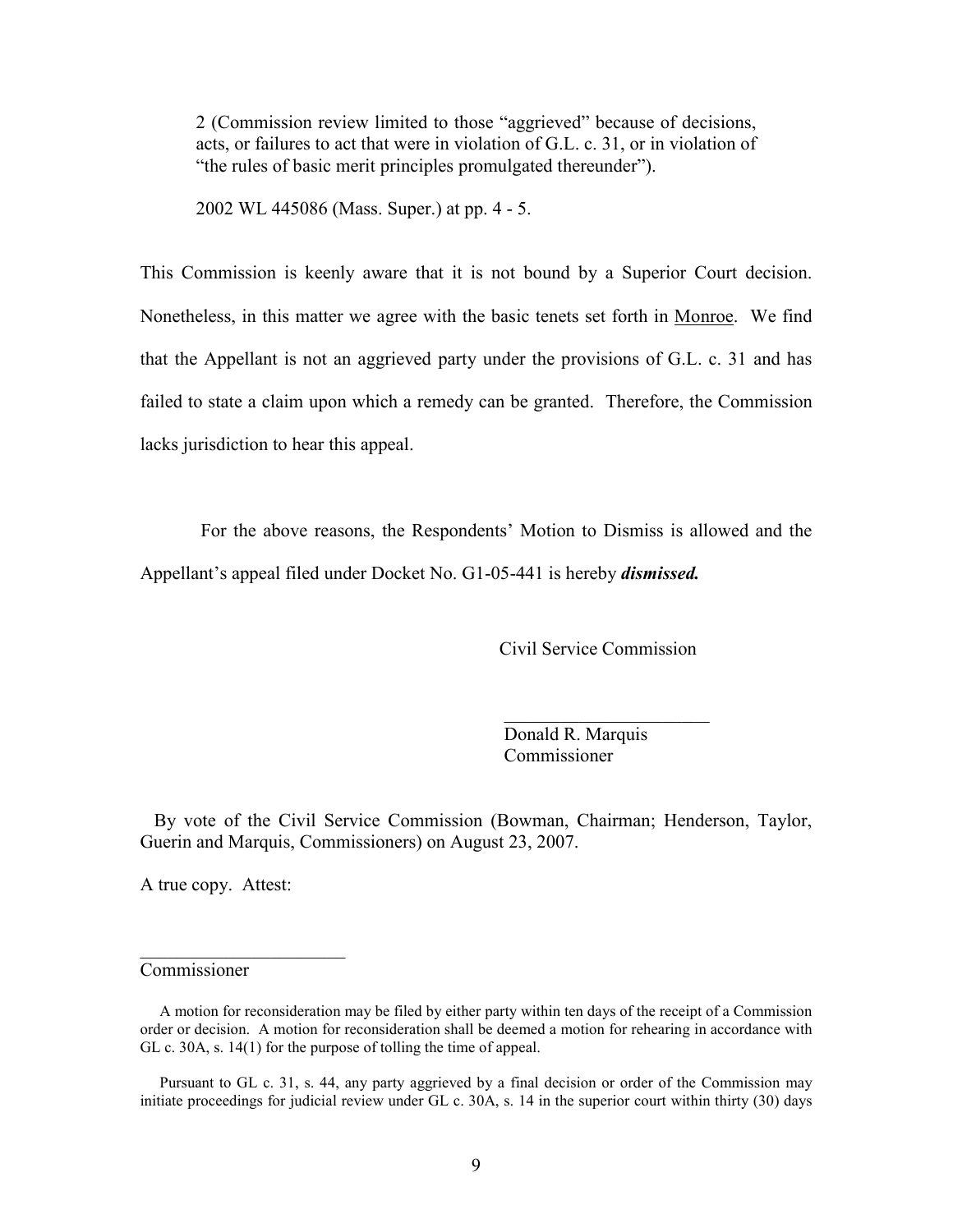2 (Commission review limited to those "aggrieved" because of decisions, acts, or failures to act that were in violation of G.L. c. 31, or in violation of "the rules of basic merit principles promulgated thereunder").

2002 WL 445086 (Mass. Super.) at pp. 4 - 5.

This Commission is keenly aware that it is not bound by a Superior Court decision. Nonetheless, in this matter we agree with the basic tenets set forth in Monroe. We find that the Appellant is not an aggrieved party under the provisions of G.L. c. 31 and has failed to state a claim upon which a remedy can be granted. Therefore, the Commission lacks jurisdiction to hear this appeal.

 For the above reasons, the Respondents' Motion to Dismiss is allowed and the Appellant's appeal filed under Docket No. G1-05-441 is hereby *dismissed*.

Civil Service Commission

 Donald R. Marquis Commissioner

 By vote of the Civil Service Commission (Bowman, Chairman; Henderson, Taylor, Guerin and Marquis, Commissioners) on August 23, 2007.

 $\mathcal{L}_\text{max}$  , which is a set of the set of the set of the set of the set of the set of the set of the set of the set of the set of the set of the set of the set of the set of the set of the set of the set of the set of

A true copy. Attest:

 $\overline{\phantom{a}}$  , which is a set of the set of the set of the set of the set of the set of the set of the set of the set of the set of the set of the set of the set of the set of the set of the set of the set of the set of th

## Commissioner

 Pursuant to GL c. 31, s. 44, any party aggrieved by a final decision or order of the Commission may initiate proceedings for judicial review under GL c. 30A, s. 14 in the superior court within thirty (30) days

A motion for reconsideration may be filed by either party within ten days of the receipt of a Commission order or decision. A motion for reconsideration shall be deemed a motion for rehearing in accordance with GL c. 30A, s. 14(1) for the purpose of tolling the time of appeal.